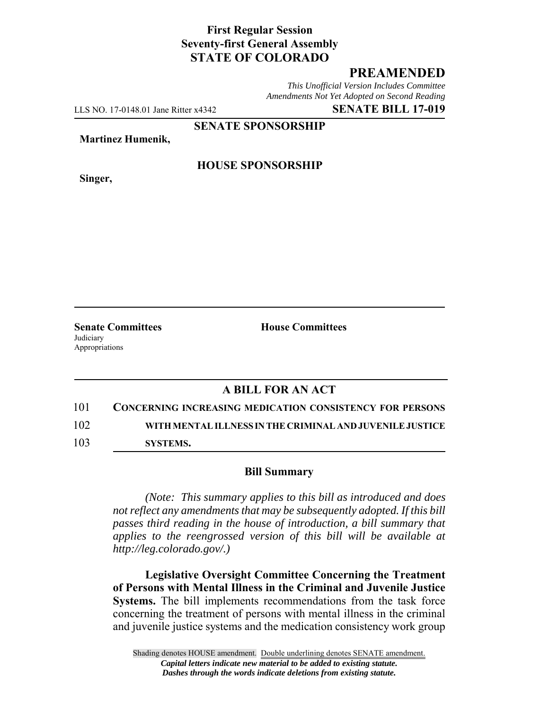# **First Regular Session Seventy-first General Assembly STATE OF COLORADO**

# **PREAMENDED**

*This Unofficial Version Includes Committee Amendments Not Yet Adopted on Second Reading*

LLS NO. 17-0148.01 Jane Ritter x4342 **SENATE BILL 17-019**

**SENATE SPONSORSHIP**

**Martinez Humenik,**

**Singer,**

### **HOUSE SPONSORSHIP**

**Senate Committees House Committees Judiciary** Appropriations

# **A BILL FOR AN ACT**

101 **CONCERNING INCREASING MEDICATION CONSISTENCY FOR PERSONS** 102 **WITH MENTAL ILLNESS IN THE CRIMINAL AND JUVENILE JUSTICE**

103 **SYSTEMS.**

#### **Bill Summary**

*(Note: This summary applies to this bill as introduced and does not reflect any amendments that may be subsequently adopted. If this bill passes third reading in the house of introduction, a bill summary that applies to the reengrossed version of this bill will be available at http://leg.colorado.gov/.)*

**Legislative Oversight Committee Concerning the Treatment of Persons with Mental Illness in the Criminal and Juvenile Justice Systems.** The bill implements recommendations from the task force concerning the treatment of persons with mental illness in the criminal and juvenile justice systems and the medication consistency work group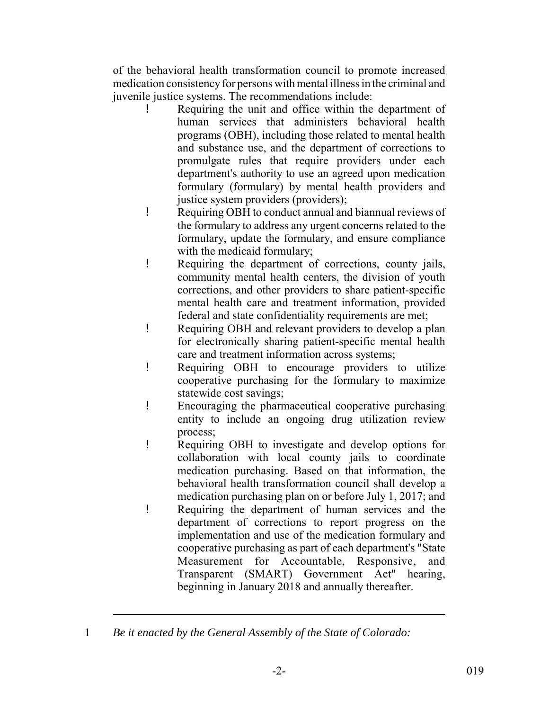of the behavioral health transformation council to promote increased medication consistency for persons with mental illness in the criminal and juvenile justice systems. The recommendations include:

- Requiring the unit and office within the department of human services that administers behavioral health programs (OBH), including those related to mental health and substance use, and the department of corrections to promulgate rules that require providers under each department's authority to use an agreed upon medication formulary (formulary) by mental health providers and justice system providers (providers);
- ! Requiring OBH to conduct annual and biannual reviews of the formulary to address any urgent concerns related to the formulary, update the formulary, and ensure compliance with the medicaid formulary;
- ! Requiring the department of corrections, county jails, community mental health centers, the division of youth corrections, and other providers to share patient-specific mental health care and treatment information, provided federal and state confidentiality requirements are met;
- ! Requiring OBH and relevant providers to develop a plan for electronically sharing patient-specific mental health care and treatment information across systems;
- ! Requiring OBH to encourage providers to utilize cooperative purchasing for the formulary to maximize statewide cost savings;
- ! Encouraging the pharmaceutical cooperative purchasing entity to include an ongoing drug utilization review process;
- ! Requiring OBH to investigate and develop options for collaboration with local county jails to coordinate medication purchasing. Based on that information, the behavioral health transformation council shall develop a medication purchasing plan on or before July 1, 2017; and ! Requiring the department of human services and the
	- department of corrections to report progress on the implementation and use of the medication formulary and cooperative purchasing as part of each department's "State Measurement for Accountable, Responsive, and Transparent (SMART) Government Act" hearing, beginning in January 2018 and annually thereafter.

<sup>1</sup> *Be it enacted by the General Assembly of the State of Colorado:*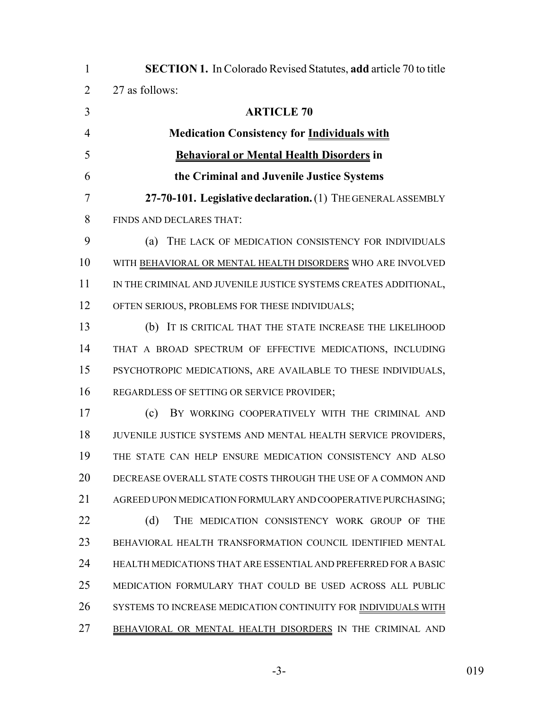| $\mathbf{1}$   | <b>SECTION 1.</b> In Colorado Revised Statutes, add article 70 to title |
|----------------|-------------------------------------------------------------------------|
| $\overline{2}$ | 27 as follows:                                                          |
| 3              | <b>ARTICLE 70</b>                                                       |
| $\overline{4}$ | <b>Medication Consistency for Individuals with</b>                      |
| 5              | <b>Behavioral or Mental Health Disorders in</b>                         |
| 6              | the Criminal and Juvenile Justice Systems                               |
| 7              | 27-70-101. Legislative declaration. (1) THE GENERAL ASSEMBLY            |
| 8              | FINDS AND DECLARES THAT:                                                |
| 9              | (a)<br>THE LACK OF MEDICATION CONSISTENCY FOR INDIVIDUALS               |
| 10             | WITH BEHAVIORAL OR MENTAL HEALTH DISORDERS WHO ARE INVOLVED             |
| 11             | IN THE CRIMINAL AND JUVENILE JUSTICE SYSTEMS CREATES ADDITIONAL,        |
| 12             | OFTEN SERIOUS, PROBLEMS FOR THESE INDIVIDUALS;                          |
| 13             | (b) IT IS CRITICAL THAT THE STATE INCREASE THE LIKELIHOOD               |
| 14             | THAT A BROAD SPECTRUM OF EFFECTIVE MEDICATIONS, INCLUDING               |
| 15             | PSYCHOTROPIC MEDICATIONS, ARE AVAILABLE TO THESE INDIVIDUALS,           |
| 16             | REGARDLESS OF SETTING OR SERVICE PROVIDER;                              |
| 17             | BY WORKING COOPERATIVELY WITH THE CRIMINAL AND<br>(c)                   |
| 18             | JUVENILE JUSTICE SYSTEMS AND MENTAL HEALTH SERVICE PROVIDERS,           |
| 19             | THE STATE CAN HELP ENSURE MEDICATION CONSISTENCY AND ALSO               |
| 20             | DECREASE OVERALL STATE COSTS THROUGH THE USE OF A COMMON AND            |
| 21             | AGREED UPON MEDICATION FORMULARY AND COOPERATIVE PURCHASING;            |
| 22             | (d)<br>THE MEDICATION CONSISTENCY WORK GROUP OF<br><b>THE</b>           |
| 23             | BEHAVIORAL HEALTH TRANSFORMATION COUNCIL IDENTIFIED MENTAL              |
| 24             | HEALTH MEDICATIONS THAT ARE ESSENTIAL AND PREFERRED FOR A BASIC         |
| 25             | MEDICATION FORMULARY THAT COULD BE USED ACROSS ALL PUBLIC               |
| 26             | SYSTEMS TO INCREASE MEDICATION CONTINUITY FOR INDIVIDUALS WITH          |
| 27             | BEHAVIORAL OR MENTAL HEALTH DISORDERS IN THE CRIMINAL AND               |

-3- 019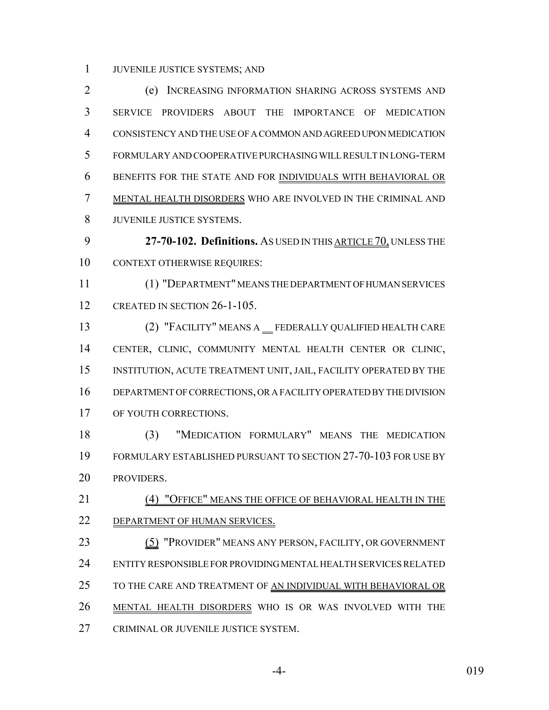JUVENILE JUSTICE SYSTEMS; AND

 (e) INCREASING INFORMATION SHARING ACROSS SYSTEMS AND SERVICE PROVIDERS ABOUT THE IMPORTANCE OF MEDICATION CONSISTENCY AND THE USE OF A COMMON AND AGREED UPON MEDICATION FORMULARY AND COOPERATIVE PURCHASING WILL RESULT IN LONG-TERM BENEFITS FOR THE STATE AND FOR INDIVIDUALS WITH BEHAVIORAL OR MENTAL HEALTH DISORDERS WHO ARE INVOLVED IN THE CRIMINAL AND JUVENILE JUSTICE SYSTEMS.

 **27-70-102. Definitions.** AS USED IN THIS ARTICLE 70, UNLESS THE CONTEXT OTHERWISE REQUIRES:

 (1) "DEPARTMENT" MEANS THE DEPARTMENT OF HUMAN SERVICES CREATED IN SECTION 26-1-105.

13 (2) "FACILITY" MEANS A FEDERALLY QUALIFIED HEALTH CARE CENTER, CLINIC, COMMUNITY MENTAL HEALTH CENTER OR CLINIC, INSTITUTION, ACUTE TREATMENT UNIT, JAIL, FACILITY OPERATED BY THE DEPARTMENT OF CORRECTIONS, OR A FACILITY OPERATED BY THE DIVISION OF YOUTH CORRECTIONS.

 (3) "MEDICATION FORMULARY" MEANS THE MEDICATION FORMULARY ESTABLISHED PURSUANT TO SECTION 27-70-103 FOR USE BY PROVIDERS.

 (4) "OFFICE" MEANS THE OFFICE OF BEHAVIORAL HEALTH IN THE DEPARTMENT OF HUMAN SERVICES.

23 (5) "PROVIDER" MEANS ANY PERSON, FACILITY, OR GOVERNMENT ENTITY RESPONSIBLE FOR PROVIDING MENTAL HEALTH SERVICES RELATED 25 TO THE CARE AND TREATMENT OF AN INDIVIDUAL WITH BEHAVIORAL OR MENTAL HEALTH DISORDERS WHO IS OR WAS INVOLVED WITH THE CRIMINAL OR JUVENILE JUSTICE SYSTEM.

-4- 019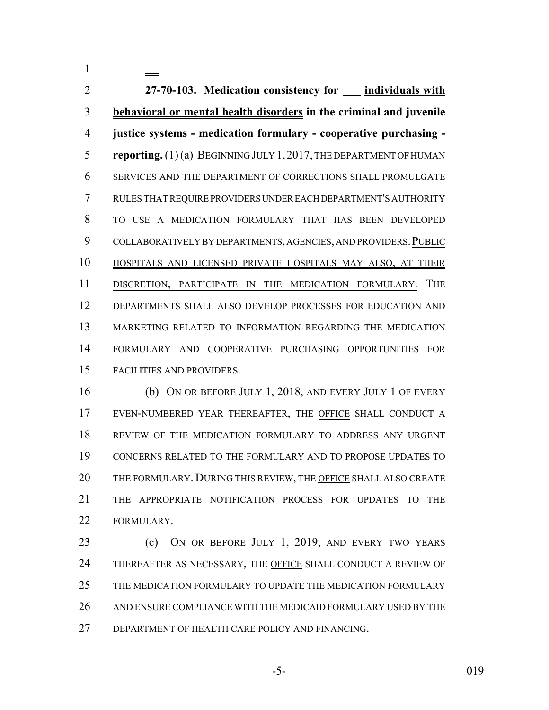**27-70-103. Medication consistency for individuals with behavioral or mental health disorders in the criminal and juvenile justice systems - medication formulary - cooperative purchasing - reporting.** (1) (a) BEGINNING JULY 1,2017, THE DEPARTMENT OF HUMAN SERVICES AND THE DEPARTMENT OF CORRECTIONS SHALL PROMULGATE RULES THAT REQUIRE PROVIDERS UNDER EACH DEPARTMENT'S AUTHORITY TO USE A MEDICATION FORMULARY THAT HAS BEEN DEVELOPED 9 COLLABORATIVELY BY DEPARTMENTS, AGENCIES, AND PROVIDERS. PUBLIC HOSPITALS AND LICENSED PRIVATE HOSPITALS MAY ALSO, AT THEIR DISCRETION, PARTICIPATE IN THE MEDICATION FORMULARY. THE DEPARTMENTS SHALL ALSO DEVELOP PROCESSES FOR EDUCATION AND MARKETING RELATED TO INFORMATION REGARDING THE MEDICATION FORMULARY AND COOPERATIVE PURCHASING OPPORTUNITIES FOR FACILITIES AND PROVIDERS.

 (b) ON OR BEFORE JULY 1, 2018, AND EVERY JULY 1 OF EVERY EVEN-NUMBERED YEAR THEREAFTER, THE OFFICE SHALL CONDUCT A REVIEW OF THE MEDICATION FORMULARY TO ADDRESS ANY URGENT CONCERNS RELATED TO THE FORMULARY AND TO PROPOSE UPDATES TO 20 THE FORMULARY. DURING THIS REVIEW, THE OFFICE SHALL ALSO CREATE THE APPROPRIATE NOTIFICATION PROCESS FOR UPDATES TO THE FORMULARY.

 (c) ON OR BEFORE JULY 1, 2019, AND EVERY TWO YEARS THEREAFTER AS NECESSARY, THE OFFICE SHALL CONDUCT A REVIEW OF THE MEDICATION FORMULARY TO UPDATE THE MEDICATION FORMULARY AND ENSURE COMPLIANCE WITH THE MEDICAID FORMULARY USED BY THE DEPARTMENT OF HEALTH CARE POLICY AND FINANCING.

$$
-5
$$

-5- 019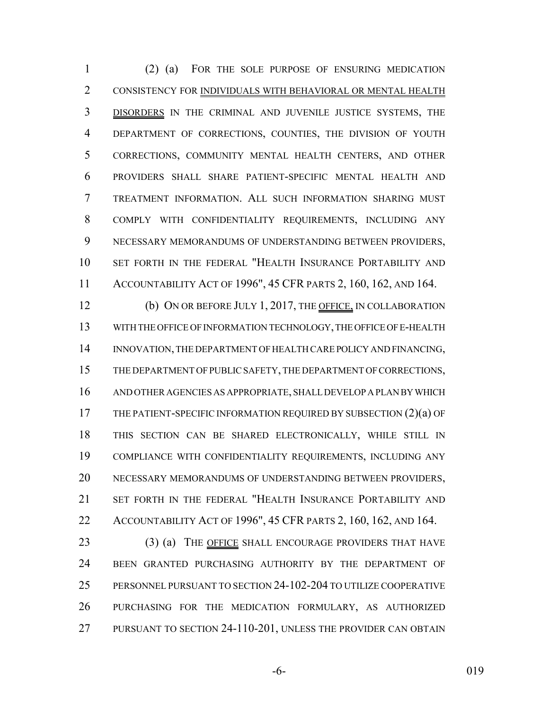(2) (a) FOR THE SOLE PURPOSE OF ENSURING MEDICATION CONSISTENCY FOR INDIVIDUALS WITH BEHAVIORAL OR MENTAL HEALTH DISORDERS IN THE CRIMINAL AND JUVENILE JUSTICE SYSTEMS, THE DEPARTMENT OF CORRECTIONS, COUNTIES, THE DIVISION OF YOUTH CORRECTIONS, COMMUNITY MENTAL HEALTH CENTERS, AND OTHER PROVIDERS SHALL SHARE PATIENT-SPECIFIC MENTAL HEALTH AND TREATMENT INFORMATION. ALL SUCH INFORMATION SHARING MUST COMPLY WITH CONFIDENTIALITY REQUIREMENTS, INCLUDING ANY NECESSARY MEMORANDUMS OF UNDERSTANDING BETWEEN PROVIDERS, SET FORTH IN THE FEDERAL "HEALTH INSURANCE PORTABILITY AND ACCOUNTABILITY ACT OF 1996", 45 CFR PARTS 2, 160, 162, AND 164.

12 (b) ON OR BEFORE JULY 1, 2017, THE OFFICE, IN COLLABORATION WITH THE OFFICE OF INFORMATION TECHNOLOGY, THE OFFICE OF E-HEALTH INNOVATION, THE DEPARTMENT OF HEALTH CARE POLICY AND FINANCING, THE DEPARTMENT OF PUBLIC SAFETY, THE DEPARTMENT OF CORRECTIONS, AND OTHER AGENCIES AS APPROPRIATE, SHALL DEVELOP A PLAN BY WHICH 17 THE PATIENT-SPECIFIC INFORMATION REQUIRED BY SUBSECTION (2)(a) OF THIS SECTION CAN BE SHARED ELECTRONICALLY, WHILE STILL IN COMPLIANCE WITH CONFIDENTIALITY REQUIREMENTS, INCLUDING ANY NECESSARY MEMORANDUMS OF UNDERSTANDING BETWEEN PROVIDERS, SET FORTH IN THE FEDERAL "HEALTH INSURANCE PORTABILITY AND ACCOUNTABILITY ACT OF 1996", 45 CFR PARTS 2, 160, 162, AND 164.

23 (3) (a) THE OFFICE SHALL ENCOURAGE PROVIDERS THAT HAVE BEEN GRANTED PURCHASING AUTHORITY BY THE DEPARTMENT OF PERSONNEL PURSUANT TO SECTION 24-102-204 TO UTILIZE COOPERATIVE PURCHASING FOR THE MEDICATION FORMULARY, AS AUTHORIZED PURSUANT TO SECTION 24-110-201, UNLESS THE PROVIDER CAN OBTAIN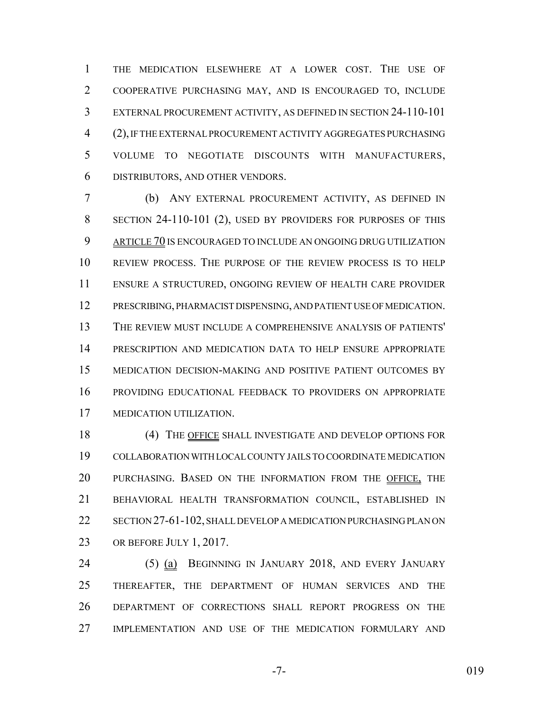THE MEDICATION ELSEWHERE AT A LOWER COST. THE USE OF COOPERATIVE PURCHASING MAY, AND IS ENCOURAGED TO, INCLUDE EXTERNAL PROCUREMENT ACTIVITY, AS DEFINED IN SECTION 24-110-101 (2), IF THE EXTERNAL PROCUREMENT ACTIVITY AGGREGATES PURCHASING VOLUME TO NEGOTIATE DISCOUNTS WITH MANUFACTURERS, DISTRIBUTORS, AND OTHER VENDORS.

 (b) ANY EXTERNAL PROCUREMENT ACTIVITY, AS DEFINED IN SECTION 24-110-101 (2), USED BY PROVIDERS FOR PURPOSES OF THIS 9 ARTICLE 70 IS ENCOURAGED TO INCLUDE AN ONGOING DRUG UTILIZATION REVIEW PROCESS. THE PURPOSE OF THE REVIEW PROCESS IS TO HELP ENSURE A STRUCTURED, ONGOING REVIEW OF HEALTH CARE PROVIDER PRESCRIBING, PHARMACIST DISPENSING, AND PATIENT USE OF MEDICATION. THE REVIEW MUST INCLUDE A COMPREHENSIVE ANALYSIS OF PATIENTS' PRESCRIPTION AND MEDICATION DATA TO HELP ENSURE APPROPRIATE MEDICATION DECISION-MAKING AND POSITIVE PATIENT OUTCOMES BY PROVIDING EDUCATIONAL FEEDBACK TO PROVIDERS ON APPROPRIATE MEDICATION UTILIZATION.

 (4) THE OFFICE SHALL INVESTIGATE AND DEVELOP OPTIONS FOR COLLABORATION WITH LOCAL COUNTY JAILS TO COORDINATE MEDICATION PURCHASING. BASED ON THE INFORMATION FROM THE OFFICE, THE BEHAVIORAL HEALTH TRANSFORMATION COUNCIL, ESTABLISHED IN SECTION 27-61-102, SHALL DEVELOP A MEDICATION PURCHASING PLAN ON 23 OR BEFORE JULY 1, 2017.

 (5) (a) BEGINNING IN JANUARY 2018, AND EVERY JANUARY THEREAFTER, THE DEPARTMENT OF HUMAN SERVICES AND THE DEPARTMENT OF CORRECTIONS SHALL REPORT PROGRESS ON THE IMPLEMENTATION AND USE OF THE MEDICATION FORMULARY AND

-7- 019